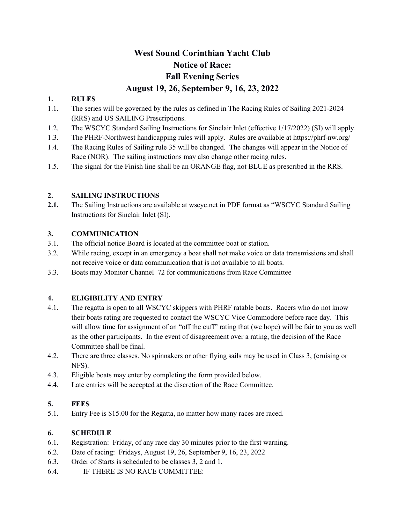# West Sound Corinthian Yacht Club Notice of Race: Fall Evening Series August 19, 26, September 9, 16, 23, 2022

#### 1. RULES

- 1.1. The series will be governed by the rules as defined in The Racing Rules of Sailing 2021-2024 (RRS) and US SAILING Prescriptions.
- 1.2. The WSCYC Standard Sailing Instructions for Sinclair Inlet (effective 1/17/2022) (SI) will apply.
- 1.3. The PHRF-Northwest handicapping rules will apply. Rules are available at https://phrf-nw.org/
- 1.4. The Racing Rules of Sailing rule 35 will be changed. The changes will appear in the Notice of Race (NOR). The sailing instructions may also change other racing rules.
- 1.5. The signal for the Finish line shall be an ORANGE flag, not BLUE as prescribed in the RRS.

#### 2. SAILING INSTRUCTIONS

2.1. The Sailing Instructions are available at wscyc.net in PDF format as "WSCYC Standard Sailing" Instructions for Sinclair Inlet (SI).

#### 3. COMMUNICATION

- 3.1. The official notice Board is located at the committee boat or station.
- 3.2. While racing, except in an emergency a boat shall not make voice or data transmissions and shall not receive voice or data communication that is not available to all boats.
- 3.3. Boats may Monitor Channel 72 for communications from Race Committee

#### 4. ELIGIBILITY AND ENTRY

- 4.1. The regatta is open to all WSCYC skippers with PHRF ratable boats. Racers who do not know their boats rating are requested to contact the WSCYC Vice Commodore before race day. This will allow time for assignment of an "off the cuff" rating that (we hope) will be fair to you as well as the other participants. In the event of disagreement over a rating, the decision of the Race Committee shall be final.
- 4.2. There are three classes. No spinnakers or other flying sails may be used in Class 3, (cruising or NFS).
- 4.3. Eligible boats may enter by completing the form provided below.
- 4.4. Late entries will be accepted at the discretion of the Race Committee.

#### 5. FEES

5.1. Entry Fee is \$15.00 for the Regatta, no matter how many races are raced.

#### 6. SCHEDULE

- 6.1. Registration: Friday, of any race day 30 minutes prior to the first warning.
- 6.2. Date of racing: Fridays, August 19, 26, September 9, 16, 23, 2022
- 6.3. Order of Starts is scheduled to be classes 3, 2 and 1.
- 6.4. IF THERE IS NO RACE COMMITTEE: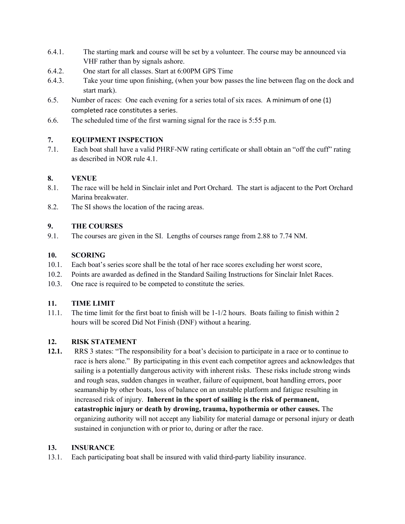- 6.4.1. The starting mark and course will be set by a volunteer. The course may be announced via VHF rather than by signals ashore.
- 6.4.2. One start for all classes. Start at 6:00PM GPS Time
- 6.4.3. Take your time upon finishing, (when your bow passes the line between flag on the dock and start mark).
- 6.5. Number of races: One each evening for a series total of six races. A minimum of one (1) completed race constitutes a series.
- 6.6. The scheduled time of the first warning signal for the race is 5:55 p.m.

# 7. EQUIPMENT INSPECTION

7.1. Each boat shall have a valid PHRF-NW rating certificate or shall obtain an "off the cuff" rating as described in NOR rule 4.1.

## 8. VENUE

- 8.1. The race will be held in Sinclair inlet and Port Orchard. The start is adjacent to the Port Orchard Marina breakwater.
- 8.2. The SI shows the location of the racing areas.

## 9. THE COURSES

9.1. The courses are given in the SI. Lengths of courses range from 2.88 to 7.74 NM.

## 10. SCORING

- 10.1. Each boat's series score shall be the total of her race scores excluding her worst score,
- 10.2. Points are awarded as defined in the Standard Sailing Instructions for Sinclair Inlet Races.
- 10.3. One race is required to be competed to constitute the series.

# 11. TIME LIMIT

11.1. The time limit for the first boat to finish will be 1-1/2 hours. Boats failing to finish within 2 hours will be scored Did Not Finish (DNF) without a hearing.

# 12. RISK STATEMENT

12.1. RRS 3 states: "The responsibility for a boat's decision to participate in a race or to continue to race is hers alone." By participating in this event each competitor agrees and acknowledges that sailing is a potentially dangerous activity with inherent risks. These risks include strong winds and rough seas, sudden changes in weather, failure of equipment, boat handling errors, poor seamanship by other boats, loss of balance on an unstable platform and fatigue resulting in increased risk of injury. Inherent in the sport of sailing is the risk of permanent, catastrophic injury or death by drowing, trauma, hypothermia or other causes. The organizing authority will not accept any liability for material damage or personal injury or death sustained in conjunction with or prior to, during or after the race.

# 13. INSURANCE

13.1. Each participating boat shall be insured with valid third-party liability insurance.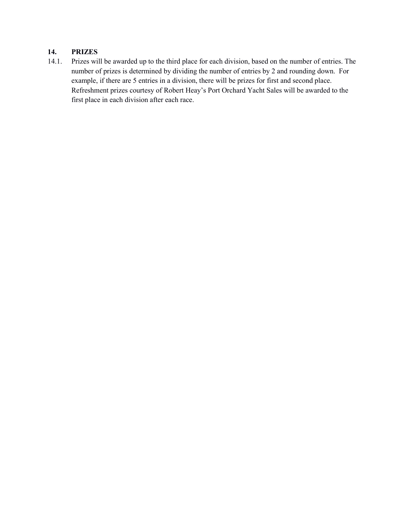#### 14. PRIZES

14.1. Prizes will be awarded up to the third place for each division, based on the number of entries. The number of prizes is determined by dividing the number of entries by 2 and rounding down. For example, if there are 5 entries in a division, there will be prizes for first and second place. Refreshment prizes courtesy of Robert Heay's Port Orchard Yacht Sales will be awarded to the first place in each division after each race.